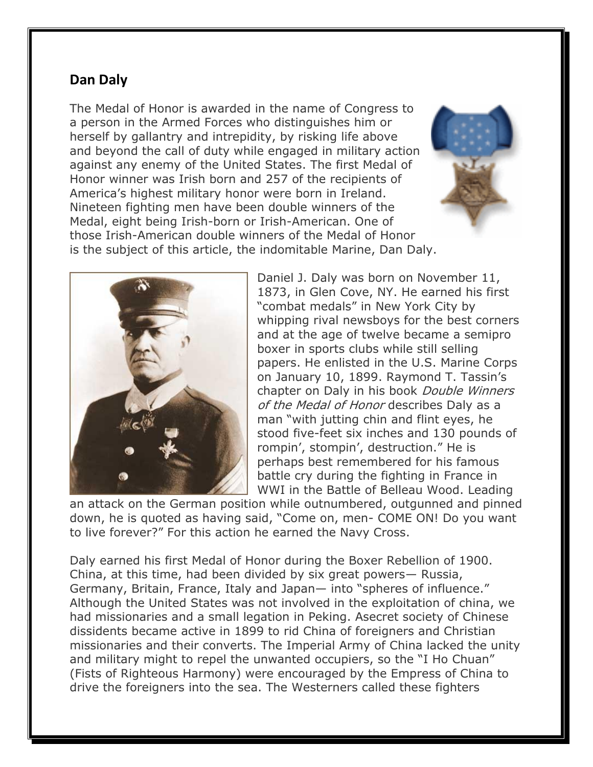## **Dan Daly**

The Medal of Honor is awarded in the name of Congress to a person in the Armed Forces who distinguishes him or herself by gallantry and intrepidity, by risking life above and beyond the call of duty while engaged in military action against any enemy of the United States. The first Medal of Honor winner was Irish born and 257 of the recipients of America's highest military honor were born in Ireland. Nineteen fighting men have been double winners of the Medal, eight being Irish-born or Irish-American. One of those Irish-American double winners of the Medal of Honor is the subject of this article, the indomitable Marine, Dan Daly.





Daniel J. Daly was born on November 11, 1873, in Glen Cove, NY. He earned his first "combat medals" in New York City by whipping rival newsboys for the best corners and at the age of twelve became a semipro boxer in sports clubs while still selling papers. He enlisted in the U.S. Marine Corps on January 10, 1899. Raymond T. Tassin's chapter on Daly in his book *Double Winners* of the Medal of Honor describes Daly as a man "with jutting chin and flint eyes, he stood five-feet six inches and 130 pounds of rompin', stompin', destruction." He is perhaps best remembered for his famous battle cry during the fighting in France in WWI in the Battle of Belleau Wood. Leading

an attack on the German position while outnumbered, outgunned and pinned down, he is quoted as having said, "Come on, men- COME ON! Do you want to live forever?" For this action he earned the Navy Cross.

Daly earned his first Medal of Honor during the Boxer Rebellion of 1900. China, at this time, had been divided by six great powers— Russia, Germany, Britain, France, Italy and Japan— into "spheres of influence." Although the United States was not involved in the exploitation of china, we had missionaries and a small legation in Peking. Asecret society of Chinese dissidents became active in 1899 to rid China of foreigners and Christian missionaries and their converts. The Imperial Army of China lacked the unity and military might to repel the unwanted occupiers, so the "I Ho Chuan" (Fists of Righteous Harmony) were encouraged by the Empress of China to drive the foreigners into the sea. The Westerners called these fighters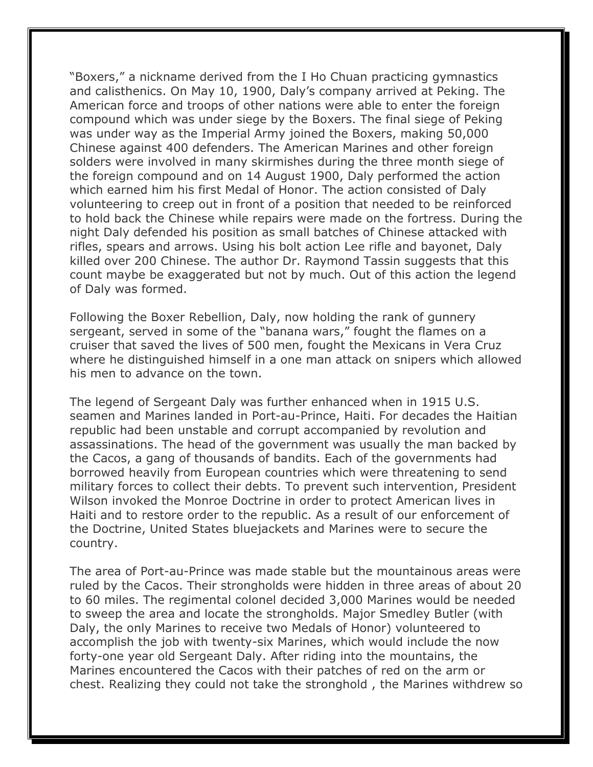"Boxers," a nickname derived from the I Ho Chuan practicing gymnastics and calisthenics. On May 10, 1900, Daly's company arrived at Peking. The American force and troops of other nations were able to enter the foreign compound which was under siege by the Boxers. The final siege of Peking was under way as the Imperial Army joined the Boxers, making 50,000 Chinese against 400 defenders. The American Marines and other foreign solders were involved in many skirmishes during the three month siege of the foreign compound and on 14 August 1900, Daly performed the action which earned him his first Medal of Honor. The action consisted of Daly volunteering to creep out in front of a position that needed to be reinforced to hold back the Chinese while repairs were made on the fortress. During the night Daly defended his position as small batches of Chinese attacked with rifles, spears and arrows. Using his bolt action Lee rifle and bayonet, Daly killed over 200 Chinese. The author Dr. Raymond Tassin suggests that this count maybe be exaggerated but not by much. Out of this action the legend of Daly was formed.

Following the Boxer Rebellion, Daly, now holding the rank of gunnery sergeant, served in some of the "banana wars," fought the flames on a cruiser that saved the lives of 500 men, fought the Mexicans in Vera Cruz where he distinguished himself in a one man attack on snipers which allowed his men to advance on the town.

The legend of Sergeant Daly was further enhanced when in 1915 U.S. seamen and Marines landed in Port-au-Prince, Haiti. For decades the Haitian republic had been unstable and corrupt accompanied by revolution and assassinations. The head of the government was usually the man backed by the Cacos, a gang of thousands of bandits. Each of the governments had borrowed heavily from European countries which were threatening to send military forces to collect their debts. To prevent such intervention, President Wilson invoked the Monroe Doctrine in order to protect American lives in Haiti and to restore order to the republic. As a result of our enforcement of the Doctrine, United States bluejackets and Marines were to secure the country.

The area of Port-au-Prince was made stable but the mountainous areas were ruled by the Cacos. Their strongholds were hidden in three areas of about 20 to 60 miles. The regimental colonel decided 3,000 Marines would be needed to sweep the area and locate the strongholds. Major Smedley Butler (with Daly, the only Marines to receive two Medals of Honor) volunteered to accomplish the job with twenty-six Marines, which would include the now forty-one year old Sergeant Daly. After riding into the mountains, the Marines encountered the Cacos with their patches of red on the arm or chest. Realizing they could not take the stronghold , the Marines withdrew so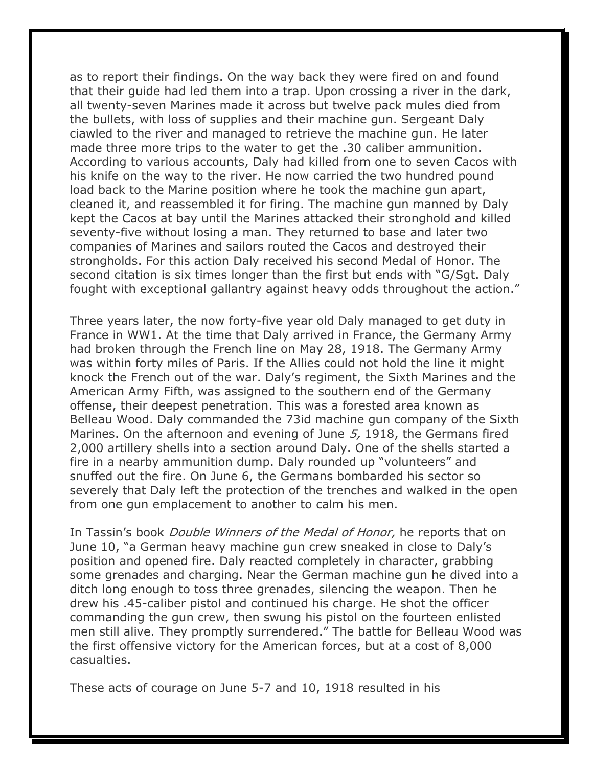as to report their findings. On the way back they were fired on and found that their guide had led them into a trap. Upon crossing a river in the dark, all twenty-seven Marines made it across but twelve pack mules died from the bullets, with loss of supplies and their machine gun. Sergeant Daly ciawled to the river and managed to retrieve the machine gun. He later made three more trips to the water to get the .30 caliber ammunition. According to various accounts, Daly had killed from one to seven Cacos with his knife on the way to the river. He now carried the two hundred pound load back to the Marine position where he took the machine gun apart, cleaned it, and reassembled it for firing. The machine gun manned by Daly kept the Cacos at bay until the Marines attacked their stronghold and killed seventy-five without losing a man. They returned to base and later two companies of Marines and sailors routed the Cacos and destroyed their strongholds. For this action Daly received his second Medal of Honor. The second citation is six times longer than the first but ends with "G/Sgt. Daly fought with exceptional gallantry against heavy odds throughout the action."

Three years later, the now forty-five year old Daly managed to get duty in France in WW1. At the time that Daly arrived in France, the Germany Army had broken through the French line on May 28, 1918. The Germany Army was within forty miles of Paris. If the Allies could not hold the line it might knock the French out of the war. Daly's regiment, the Sixth Marines and the American Army Fifth, was assigned to the southern end of the Germany offense, their deepest penetration. This was a forested area known as Belleau Wood. Daly commanded the 73id machine gun company of the Sixth Marines. On the afternoon and evening of June 5, 1918, the Germans fired 2,000 artillery shells into a section around Daly. One of the shells started a fire in a nearby ammunition dump. Daly rounded up "volunteers" and snuffed out the fire. On June 6, the Germans bombarded his sector so severely that Daly left the protection of the trenches and walked in the open from one gun emplacement to another to calm his men.

In Tassin's book *Double Winners of the Medal of Honor*, he reports that on June 10, "a German heavy machine gun crew sneaked in close to Daly's position and opened fire. Daly reacted completely in character, grabbing some grenades and charging. Near the German machine gun he dived into a ditch long enough to toss three grenades, silencing the weapon. Then he drew his .45-caliber pistol and continued his charge. He shot the officer commanding the gun crew, then swung his pistol on the fourteen enlisted men still alive. They promptly surrendered." The battle for Belleau Wood was the first offensive victory for the American forces, but at a cost of 8,000 casualties.

These acts of courage on June 5-7 and 10, 1918 resulted in his